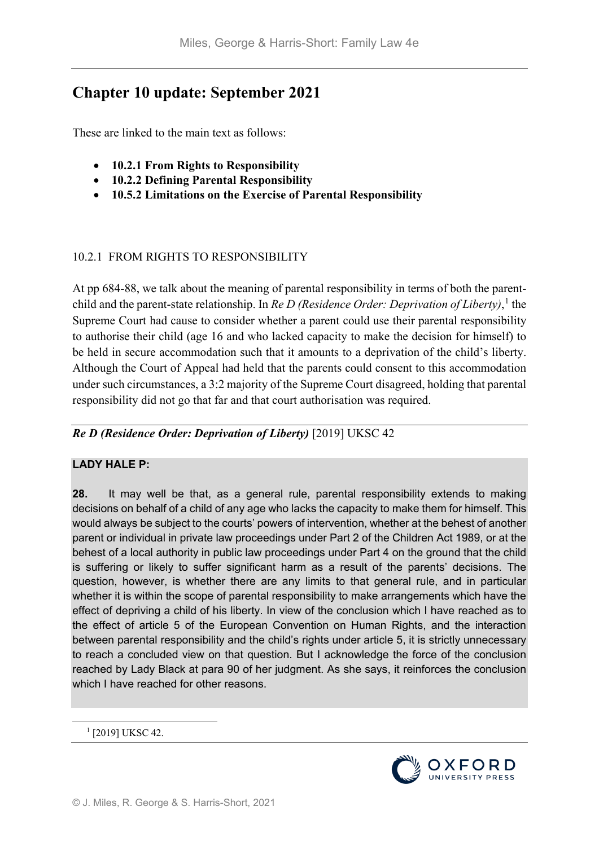# **Chapter 10 update: September 2021**

These are linked to the main text as follows:

- **10.2.1 From Rights to Responsibility**
- **10.2.2 Defining Parental Responsibility**
- **10.5.2 Limitations on the Exercise of Parental Responsibility**

### 10.2.1 FROM RIGHTS TO RESPONSIBILITY

At pp 684-88, we talk about the meaning of parental responsibility in terms of both the parentchild and the parent-state relationship. In *Re D (Residence Order: Deprivation of Liberty)*, [1](#page-0-0) the Supreme Court had cause to consider whether a parent could use their parental responsibility to authorise their child (age 16 and who lacked capacity to make the decision for himself) to be held in secure accommodation such that it amounts to a deprivation of the child's liberty. Although the Court of Appeal had held that the parents could consent to this accommodation under such circumstances, a 3:2 majority of the Supreme Court disagreed, holding that parental responsibility did not go that far and that court authorisation was required.

*Re D (Residence Order: Deprivation of Liberty)* [2019] UKSC 42

# **LADY HALE P:**

**28.** It may well be that, as a general rule, parental responsibility extends to making decisions on behalf of a child of any age who lacks the capacity to make them for himself. This would always be subject to the courts' powers of intervention, whether at the behest of another parent or individual in private law proceedings under Part 2 of the Children Act 1989, or at the behest of a local authority in public law proceedings under Part 4 on the ground that the child is suffering or likely to suffer significant harm as a result of the parents' decisions. The question, however, is whether there are any limits to that general rule, and in particular whether it is within the scope of parental responsibility to make arrangements which have the effect of depriving a child of his liberty. In view of the conclusion which I have reached as to the effect of article 5 of the European Convention on Human Rights, and the interaction between parental responsibility and the child's rights under article 5, it is strictly unnecessary to reach a concluded view on that question. But I acknowledge the force of the conclusion reached by Lady Black at para 90 of her judgment. As she says, it reinforces the conclusion which I have reached for other reasons.

<span id="page-0-0"></span><sup>1</sup> [2019] UKSC 42.

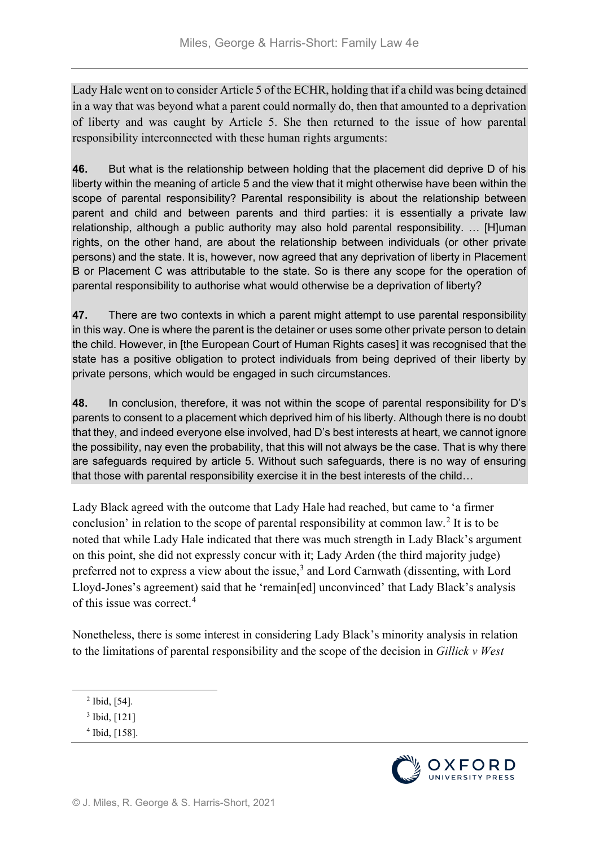Lady Hale went on to consider Article 5 of the ECHR, holding that if a child was being detained in a way that was beyond what a parent could normally do, then that amounted to a deprivation of liberty and was caught by Article 5. She then returned to the issue of how parental responsibility interconnected with these human rights arguments:

**46.** But what is the relationship between holding that the placement did deprive D of his liberty within the meaning of article 5 and the view that it might otherwise have been within the scope of parental responsibility? Parental responsibility is about the relationship between parent and child and between parents and third parties: it is essentially a private law relationship, although a public authority may also hold parental responsibility. … [H]uman rights, on the other hand, are about the relationship between individuals (or other private persons) and the state. It is, however, now agreed that any deprivation of liberty in Placement B or Placement C was attributable to the state. So is there any scope for the operation of parental responsibility to authorise what would otherwise be a deprivation of liberty?

**47.** There are two contexts in which a parent might attempt to use parental responsibility in this way. One is where the parent is the detainer or uses some other private person to detain the child. However, in [the European Court of Human Rights cases] it was recognised that the state has a positive obligation to protect individuals from being deprived of their liberty by private persons, which would be engaged in such circumstances.

**48.** In conclusion, therefore, it was not within the scope of parental responsibility for D's parents to consent to a placement which deprived him of his liberty. Although there is no doubt that they, and indeed everyone else involved, had D's best interests at heart, we cannot ignore the possibility, nay even the probability, that this will not always be the case. That is why there are safeguards required by article 5. Without such safeguards, there is no way of ensuring that those with parental responsibility exercise it in the best interests of the child…

Lady Black agreed with the outcome that Lady Hale had reached, but came to 'a firmer conclusion' in relation to the scope of parental responsibility at common law.[2](#page-1-0) It is to be noted that while Lady Hale indicated that there was much strength in Lady Black's argument on this point, she did not expressly concur with it; Lady Arden (the third majority judge) preferred not to express a view about the issue,<sup>[3](#page-1-1)</sup> and Lord Carnwath (dissenting, with Lord Lloyd-Jones's agreement) said that he 'remain[ed] unconvinced' that Lady Black's analysis of this issue was correct.[4](#page-1-2)

Nonetheless, there is some interest in considering Lady Black's minority analysis in relation to the limitations of parental responsibility and the scope of the decision in *Gillick v West* 



<span id="page-1-0"></span> <sup>2</sup> Ibid, [54].

<span id="page-1-1"></span><sup>3</sup> Ibid, [121]

<span id="page-1-2"></span><sup>4</sup> Ibid, [158].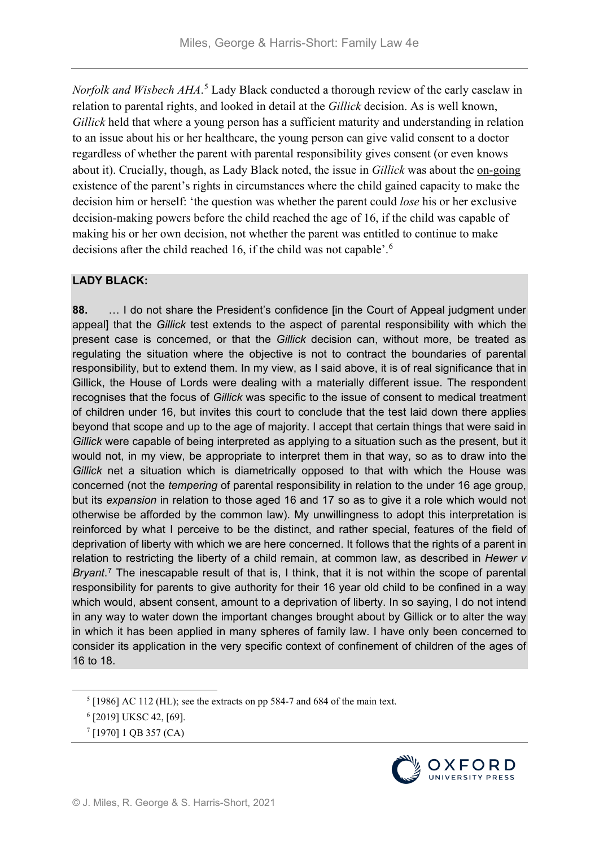*Norfolk and Wisbech AHA*. [5](#page-2-0) Lady Black conducted a thorough review of the early caselaw in relation to parental rights, and looked in detail at the *Gillick* decision. As is well known, *Gillick* held that where a young person has a sufficient maturity and understanding in relation to an issue about his or her healthcare, the young person can give valid consent to a doctor regardless of whether the parent with parental responsibility gives consent (or even knows about it). Crucially, though, as Lady Black noted, the issue in *Gillick* was about the on-going existence of the parent's rights in circumstances where the child gained capacity to make the decision him or herself: 'the question was whether the parent could *lose* his or her exclusive decision-making powers before the child reached the age of 16, if the child was capable of making his or her own decision, not whether the parent was entitled to continue to make decisions after the child reached 1[6](#page-2-1), if the child was not capable'.<sup>6</sup>

### **LADY BLACK:**

**88.** … I do not share the President's confidence [in the Court of Appeal judgment under appeal] that the *Gillick* test extends to the aspect of parental responsibility with which the present case is concerned, or that the *Gillick* decision can, without more, be treated as regulating the situation where the objective is not to contract the boundaries of parental responsibility, but to extend them. In my view, as I said above, it is of real significance that in Gillick, the House of Lords were dealing with a materially different issue. The respondent recognises that the focus of *Gillick* was specific to the issue of consent to medical treatment of children under 16, but invites this court to conclude that the test laid down there applies beyond that scope and up to the age of majority. I accept that certain things that were said in *Gillick* were capable of being interpreted as applying to a situation such as the present, but it would not, in my view, be appropriate to interpret them in that way, so as to draw into the *Gillick* net a situation which is diametrically opposed to that with which the House was concerned (not the *tempering* of parental responsibility in relation to the under 16 age group, but its *expansion* in relation to those aged 16 and 17 so as to give it a role which would not otherwise be afforded by the common law). My unwillingness to adopt this interpretation is reinforced by what I perceive to be the distinct, and rather special, features of the field of deprivation of liberty with which we are here concerned. It follows that the rights of a parent in relation to restricting the liberty of a child remain, at common law, as described in *Hewer v Bryant*.[7](#page-2-2) The inescapable result of that is, I think, that it is not within the scope of parental responsibility for parents to give authority for their 16 year old child to be confined in a way which would, absent consent, amount to a deprivation of liberty. In so saying, I do not intend in any way to water down the important changes brought about by Gillick or to alter the way in which it has been applied in many spheres of family law. I have only been concerned to consider its application in the very specific context of confinement of children of the ages of 16 to 18.



<span id="page-2-0"></span> $5$  [1986] AC 112 (HL); see the extracts on pp 584-7 and 684 of the main text.

<span id="page-2-1"></span><sup>6</sup> [2019] UKSC 42, [69].

<span id="page-2-2"></span><sup>7</sup> [1970] 1 QB 357 (CA)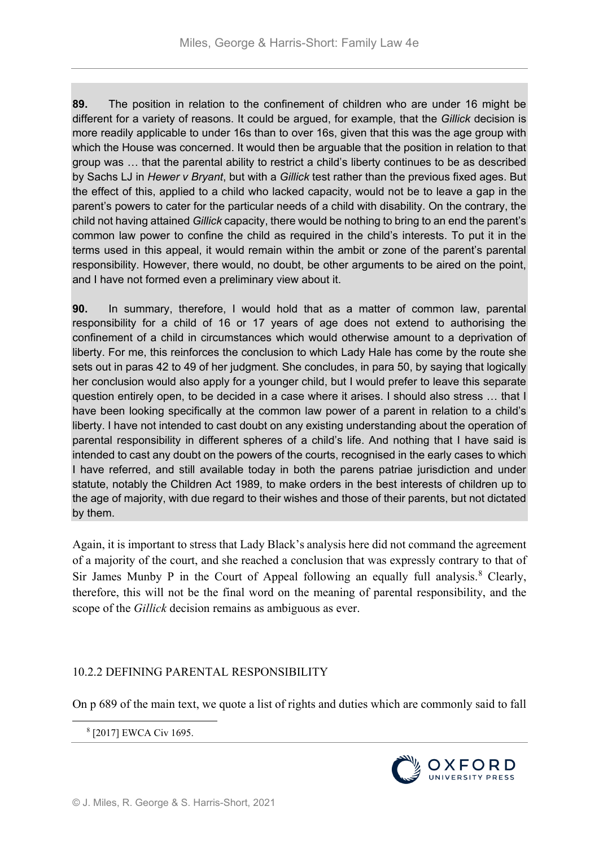**89.** The position in relation to the confinement of children who are under 16 might be different for a variety of reasons. It could be argued, for example, that the *Gillick* decision is more readily applicable to under 16s than to over 16s, given that this was the age group with which the House was concerned. It would then be arguable that the position in relation to that group was … that the parental ability to restrict a child's liberty continues to be as described by Sachs LJ in *Hewer v Bryant*, but with a *Gillick* test rather than the previous fixed ages. But the effect of this, applied to a child who lacked capacity, would not be to leave a gap in the parent's powers to cater for the particular needs of a child with disability. On the contrary, the child not having attained *Gillick* capacity, there would be nothing to bring to an end the parent's common law power to confine the child as required in the child's interests. To put it in the terms used in this appeal, it would remain within the ambit or zone of the parent's parental responsibility. However, there would, no doubt, be other arguments to be aired on the point, and I have not formed even a preliminary view about it.

**90.** In summary, therefore, I would hold that as a matter of common law, parental responsibility for a child of 16 or 17 years of age does not extend to authorising the confinement of a child in circumstances which would otherwise amount to a deprivation of liberty. For me, this reinforces the conclusion to which Lady Hale has come by the route she sets out in paras 42 to 49 of her judgment. She concludes, in para 50, by saying that logically her conclusion would also apply for a younger child, but I would prefer to leave this separate question entirely open, to be decided in a case where it arises. I should also stress … that I have been looking specifically at the common law power of a parent in relation to a child's liberty. I have not intended to cast doubt on any existing understanding about the operation of parental responsibility in different spheres of a child's life. And nothing that I have said is intended to cast any doubt on the powers of the courts, recognised in the early cases to which I have referred, and still available today in both the parens patriae jurisdiction and under statute, notably the Children Act 1989, to make orders in the best interests of children up to the age of majority, with due regard to their wishes and those of their parents, but not dictated by them.

Again, it is important to stress that Lady Black's analysis here did not command the agreement of a majority of the court, and she reached a conclusion that was expressly contrary to that of Sir James Munby P in the Court of Appeal following an equally full analysis.<sup>[8](#page-3-0)</sup> Clearly, therefore, this will not be the final word on the meaning of parental responsibility, and the scope of the *Gillick* decision remains as ambiguous as ever.

# 10.2.2 DEFINING PARENTAL RESPONSIBILITY

<span id="page-3-0"></span>On p 689 of the main text, we quote a list of rights and duties which are commonly said to fall

8 [2017] EWCA Civ 1695.

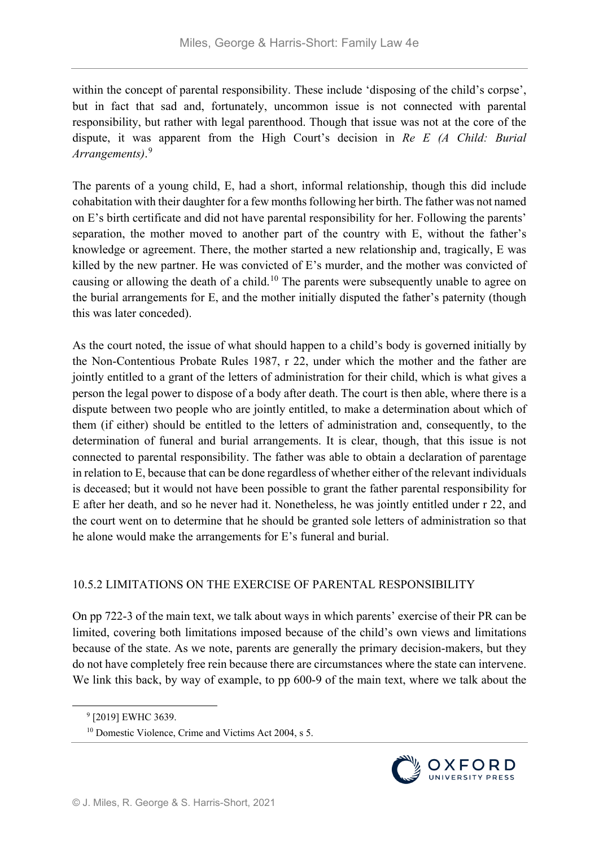within the concept of parental responsibility. These include 'disposing of the child's corpse', but in fact that sad and, fortunately, uncommon issue is not connected with parental responsibility, but rather with legal parenthood. Though that issue was not at the core of the dispute, it was apparent from the High Court's decision in *Re E (A Child: Burial Arrangements)*. [9](#page-4-0)

The parents of a young child, E, had a short, informal relationship, though this did include cohabitation with their daughter for a few months following her birth. The father was not named on E's birth certificate and did not have parental responsibility for her. Following the parents' separation, the mother moved to another part of the country with E, without the father's knowledge or agreement. There, the mother started a new relationship and, tragically, E was killed by the new partner. He was convicted of E's murder, and the mother was convicted of causing or allowing the death of a child.<sup>[10](#page-4-1)</sup> The parents were subsequently unable to agree on the burial arrangements for E, and the mother initially disputed the father's paternity (though this was later conceded).

As the court noted, the issue of what should happen to a child's body is governed initially by the Non-Contentious Probate Rules 1987, r 22, under which the mother and the father are jointly entitled to a grant of the letters of administration for their child, which is what gives a person the legal power to dispose of a body after death. The court is then able, where there is a dispute between two people who are jointly entitled, to make a determination about which of them (if either) should be entitled to the letters of administration and, consequently, to the determination of funeral and burial arrangements. It is clear, though, that this issue is not connected to parental responsibility. The father was able to obtain a declaration of parentage in relation to E, because that can be done regardless of whether either of the relevant individuals is deceased; but it would not have been possible to grant the father parental responsibility for E after her death, and so he never had it. Nonetheless, he was jointly entitled under r 22, and the court went on to determine that he should be granted sole letters of administration so that he alone would make the arrangements for E's funeral and burial.

# 10.5.2 LIMITATIONS ON THE EXERCISE OF PARENTAL RESPONSIBILITY

On pp 722-3 of the main text, we talk about ways in which parents' exercise of their PR can be limited, covering both limitations imposed because of the child's own views and limitations because of the state. As we note, parents are generally the primary decision-makers, but they do not have completely free rein because there are circumstances where the state can intervene. We link this back, by way of example, to pp 600-9 of the main text, where we talk about the



<span id="page-4-0"></span> <sup>9</sup> [2019] EWHC 3639.

<span id="page-4-1"></span><sup>10</sup> Domestic Violence, Crime and Victims Act 2004, s 5.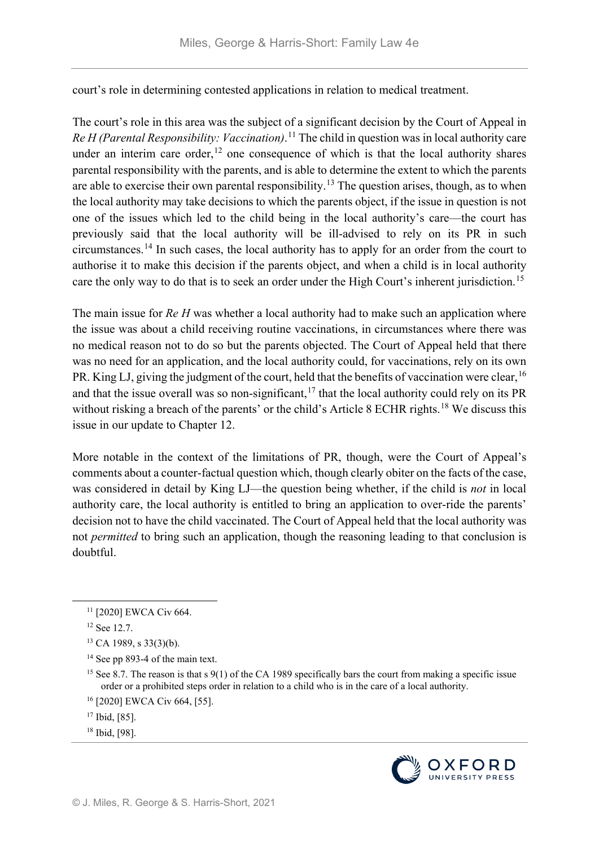court's role in determining contested applications in relation to medical treatment.

The court's role in this area was the subject of a significant decision by the Court of Appeal in *Re H (Parental Responsibility: Vaccination)*. [11](#page-5-0) The child in question was in local authority care under an interim care order, $12$  one consequence of which is that the local authority shares parental responsibility with the parents, and is able to determine the extent to which the parents are able to exercise their own parental responsibility.<sup>[13](#page-5-2)</sup> The question arises, though, as to when the local authority may take decisions to which the parents object, if the issue in question is not one of the issues which led to the child being in the local authority's care—the court has previously said that the local authority will be ill-advised to rely on its PR in such circumstances.[14](#page-5-3) In such cases, the local authority has to apply for an order from the court to authorise it to make this decision if the parents object, and when a child is in local authority care the only way to do that is to seek an order under the High Court's inherent jurisdiction.<sup>[15](#page-5-4)</sup>

The main issue for *Re H* was whether a local authority had to make such an application where the issue was about a child receiving routine vaccinations, in circumstances where there was no medical reason not to do so but the parents objected. The Court of Appeal held that there was no need for an application, and the local authority could, for vaccinations, rely on its own PR. King LJ, giving the judgment of the court, held that the benefits of vaccination were clear, <sup>[16](#page-5-5)</sup> and that the issue overall was so non-significant,  $17$  that the local authority could rely on its PR without risking a breach of the parents' or the child's Article 8 ECHR rights.<sup>[18](#page-5-7)</sup> We discuss this issue in our update to Chapter 12.

More notable in the context of the limitations of PR, though, were the Court of Appeal's comments about a counter-factual question which, though clearly obiter on the facts of the case, was considered in detail by King LJ—the question being whether, if the child is *not* in local authority care, the local authority is entitled to bring an application to over-ride the parents' decision not to have the child vaccinated. The Court of Appeal held that the local authority was not *permitted* to bring such an application, though the reasoning leading to that conclusion is doubtful.

<span id="page-5-3"></span><sup>14</sup> See pp 893-4 of the main text.

- <span id="page-5-5"></span><sup>16</sup> [2020] EWCA Civ 664, [55].
- <span id="page-5-6"></span><sup>17</sup> Ibid, [85].
- <span id="page-5-7"></span><sup>18</sup> Ibid, [98].



<span id="page-5-0"></span> <sup>11</sup> [2020] EWCA Civ 664.

<span id="page-5-1"></span><sup>12</sup> See 12.7.

<span id="page-5-2"></span> $13$  CA 1989, s 33(3)(b).

<span id="page-5-4"></span><sup>&</sup>lt;sup>15</sup> See 8.7. The reason is that s 9(1) of the CA 1989 specifically bars the court from making a specific issue order or a prohibited steps order in relation to a child who is in the care of a local authority.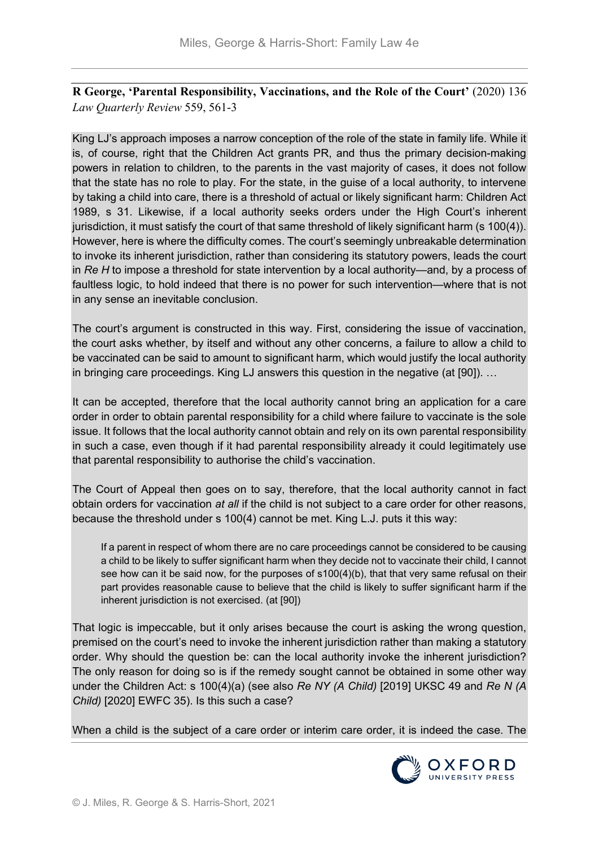**R George, 'Parental Responsibility, Vaccinations, and the Role of the Court'** (2020) 136 *Law Quarterly Review* 559, 561-3

King LJ's approach imposes a narrow conception of the role of the state in family life. While it is, of course, right that the Children Act grants PR, and thus the primary decision-making powers in relation to children, to the parents in the vast majority of cases, it does not follow that the state has no role to play. For the state, in the guise of a local authority, to intervene by taking a child into care, there is a threshold of actual or likely significant harm: Children Act 1989, s 31. Likewise, if a local authority seeks orders under the High Court's inherent jurisdiction, it must satisfy the court of that same threshold of likely significant harm (s 100(4)). However, here is where the difficulty comes. The court's seemingly unbreakable determination to invoke its inherent jurisdiction, rather than considering its statutory powers, leads the court in *Re H* to impose a threshold for state intervention by a local authority—and, by a process of faultless logic, to hold indeed that there is no power for such intervention—where that is not in any sense an inevitable conclusion.

The court's argument is constructed in this way. First, considering the issue of vaccination, the court asks whether, by itself and without any other concerns, a failure to allow a child to be vaccinated can be said to amount to significant harm, which would justify the local authority in bringing care proceedings. King LJ answers this question in the negative (at [90]). …

It can be accepted, therefore that the local authority cannot bring an application for a care order in order to obtain parental responsibility for a child where failure to vaccinate is the sole issue. It follows that the local authority cannot obtain and rely on its own parental responsibility in such a case, even though if it had parental responsibility already it could legitimately use that parental responsibility to authorise the child's vaccination.

The Court of Appeal then goes on to say, therefore, that the local authority cannot in fact obtain orders for vaccination *at all* if the child is not subject to a care order for other reasons, because the threshold under s 100(4) cannot be met. King L.J. puts it this way:

If a parent in respect of whom there are no care proceedings cannot be considered to be causing a child to be likely to suffer significant harm when they decide not to vaccinate their child, I cannot see how can it be said now, for the purposes of  $s100(4)$ (b), that that very same refusal on their part provides reasonable cause to believe that the child is likely to suffer significant harm if the inherent jurisdiction is not exercised. (at [90])

That logic is impeccable, but it only arises because the court is asking the wrong question, premised on the court's need to invoke the inherent jurisdiction rather than making a statutory order. Why should the question be: can the local authority invoke the inherent jurisdiction? The only reason for doing so is if the remedy sought cannot be obtained in some other way under the Children Act: s 100(4)(a) (see also *Re NY (A Child)* [2019] UKSC 49 and *Re N (A Child)* [2020] EWFC 35). Is this such a case?

When a child is the subject of a care order or interim care order, it is indeed the case. The

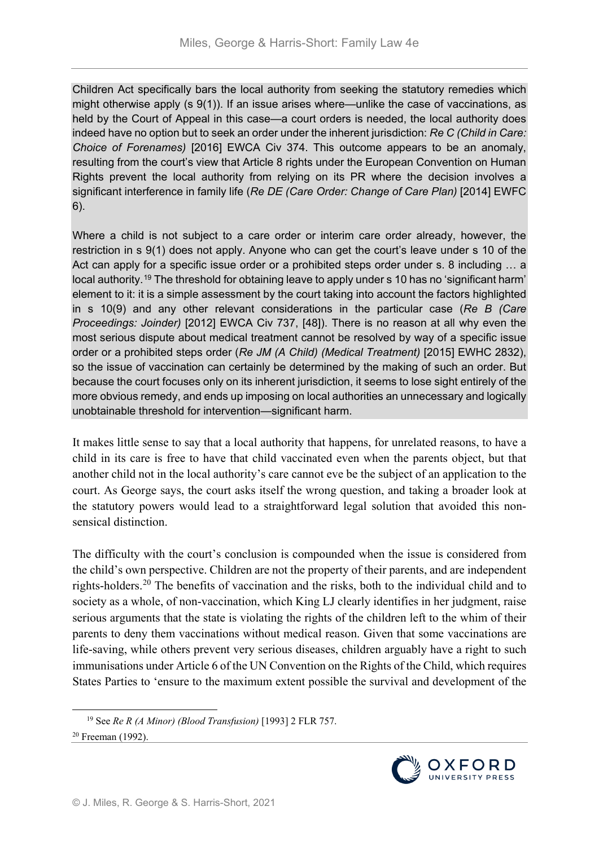Children Act specifically bars the local authority from seeking the statutory remedies which might otherwise apply (s 9(1)). If an issue arises where—unlike the case of vaccinations, as held by the Court of Appeal in this case—a court orders is needed, the local authority does indeed have no option but to seek an order under the inherent jurisdiction: *Re C (Child in Care: Choice of Forenames)* [2016] EWCA Civ 374. This outcome appears to be an anomaly, resulting from the court's view that Article 8 rights under the European Convention on Human Rights prevent the local authority from relying on its PR where the decision involves a significant interference in family life (*Re DE (Care Order: Change of Care Plan)* [2014] EWFC 6).

Where a child is not subject to a care order or interim care order already, however, the restriction in s 9(1) does not apply. Anyone who can get the court's leave under s 10 of the Act can apply for a specific issue order or a prohibited steps order under s. 8 including … a local authority.[19](#page-7-0) The threshold for obtaining leave to apply under s 10 has no 'significant harm' element to it: it is a simple assessment by the court taking into account the factors highlighted in s 10(9) and any other relevant considerations in the particular case (*Re B (Care Proceedings: Joinder)* [2012] EWCA Civ 737, [48]). There is no reason at all why even the most serious dispute about medical treatment cannot be resolved by way of a specific issue order or a prohibited steps order (*Re JM (A Child) (Medical Treatment)* [2015] EWHC 2832), so the issue of vaccination can certainly be determined by the making of such an order. But because the court focuses only on its inherent jurisdiction, it seems to lose sight entirely of the more obvious remedy, and ends up imposing on local authorities an unnecessary and logically unobtainable threshold for intervention—significant harm.

It makes little sense to say that a local authority that happens, for unrelated reasons, to have a child in its care is free to have that child vaccinated even when the parents object, but that another child not in the local authority's care cannot eve be the subject of an application to the court. As George says, the court asks itself the wrong question, and taking a broader look at the statutory powers would lead to a straightforward legal solution that avoided this nonsensical distinction.

The difficulty with the court's conclusion is compounded when the issue is considered from the child's own perspective. Children are not the property of their parents, and are independent rights-holders.[20](#page-7-1) The benefits of vaccination and the risks, both to the individual child and to society as a whole, of non-vaccination, which King LJ clearly identifies in her judgment, raise serious arguments that the state is violating the rights of the children left to the whim of their parents to deny them vaccinations without medical reason. Given that some vaccinations are life-saving, while others prevent very serious diseases, children arguably have a right to such immunisations under Article 6 of the UN Convention on the Rights of the Child, which requires States Parties to 'ensure to the maximum extent possible the survival and development of the



<span id="page-7-1"></span><span id="page-7-0"></span> <sup>19</sup> See *Re R (A Minor) (Blood Transfusion)* [1993] 2 FLR 757. <sup>20</sup> Freeman (1992).